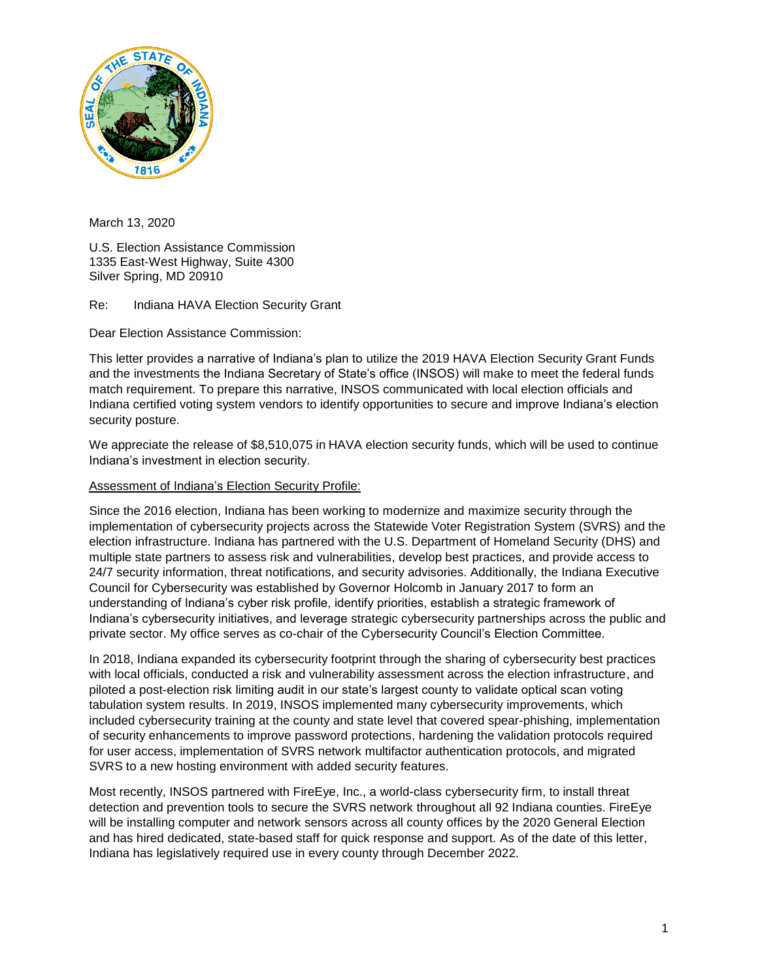

March 13, 2020

U.S. Election Assistance Commission 1335 East-West Highway, Suite 4300 Silver Spring, MD 20910

Re: Indiana HAVA Election Security Grant

Dear Election Assistance Commission:

This letter provides a narrative of Indiana's plan to utilize the 2019 HAVA Election Security Grant Funds and the investments the Indiana Secretary of State's office (INSOS) will make to meet the federal funds match requirement. To prepare this narrative, INSOS communicated with local election officials and Indiana certified voting system vendors to identify opportunities to secure and improve Indiana's election security posture.

We appreciate the release of \$8,510,075 in HAVA election security funds, which will be used to continue Indiana's investment in election security.

## Assessment of Indiana's Election Security Profile:

 Indiana's cybersecurity initiatives, and leverage strategic cybersecurity partnerships across the public and Since the 2016 election, Indiana has been working to modernize and maximize security through the implementation of cybersecurity projects across the Statewide Voter Registration System (SVRS) and the election infrastructure. Indiana has partnered with the U.S. Department of Homeland Security (DHS) and multiple state partners to assess risk and vulnerabilities, develop best practices, and provide access to 24/7 security information, threat notifications, and security advisories. Additionally, the Indiana Executive Council for Cybersecurity was established by Governor Holcomb in January 2017 to form an understanding of Indiana's cyber risk profile, identify priorities, establish a strategic framework of private sector. My office serves as co-chair of the Cybersecurity Council's Election Committee.

In 2018, Indiana expanded its cybersecurity footprint through the sharing of cybersecurity best practices with local officials, conducted a risk and vulnerability assessment across the election infrastructure, and piloted a post-election risk limiting audit in our state's largest county to validate optical scan voting tabulation system results. In 2019, INSOS implemented many cybersecurity improvements, which included cybersecurity training at the county and state level that covered spear-phishing, implementation of security enhancements to improve password protections, hardening the validation protocols required for user access, implementation of SVRS network multifactor authentication protocols, and migrated SVRS to a new hosting environment with added security features.

Most recently, INSOS partnered with FireEye, Inc., a world-class cybersecurity firm, to install threat detection and prevention tools to secure the SVRS network throughout all 92 Indiana counties. FireEye will be installing computer and network sensors across all county offices by the 2020 General Election and has hired dedicated, state-based staff for quick response and support. As of the date of this letter, Indiana has legislatively required use in every county through December 2022.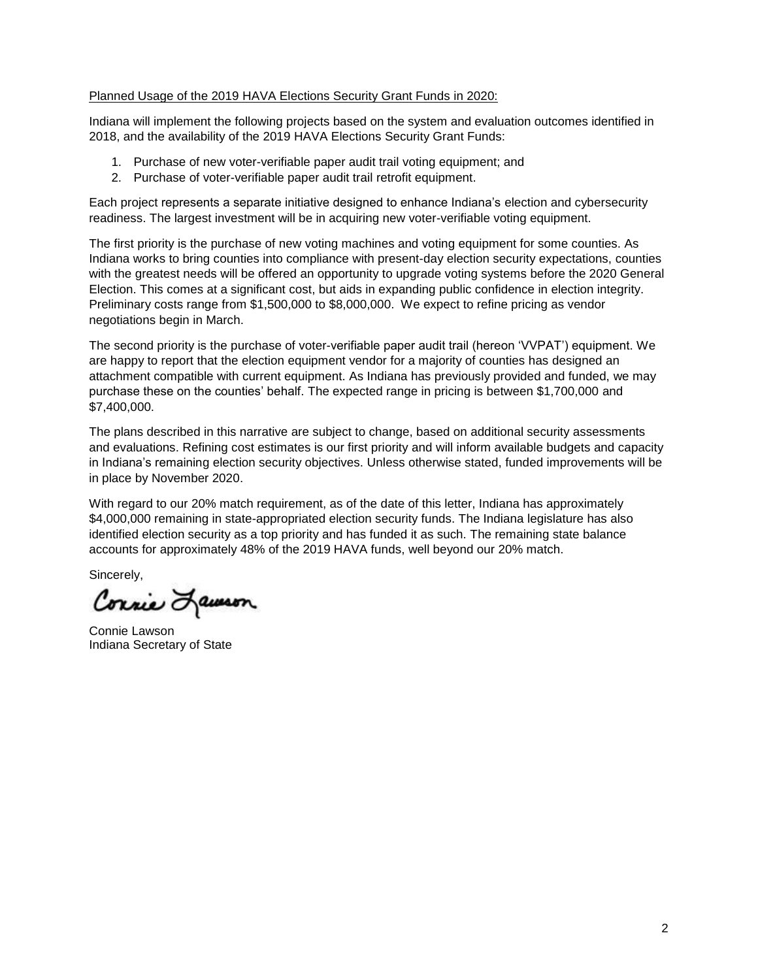## Planned Usage of the 2019 HAVA Elections Security Grant Funds in 2020:

Indiana will implement the following projects based on the system and evaluation outcomes identified in 2018, and the availability of the 2019 HAVA Elections Security Grant Funds:

- 1. Purchase of new voter-verifiable paper audit trail voting equipment; and
- 2. Purchase of voter-verifiable paper audit trail retrofit equipment.

Each project represents a separate initiative designed to enhance Indiana's election and cybersecurity readiness. The largest investment will be in acquiring new voter-verifiable voting equipment.

The first priority is the purchase of new voting machines and voting equipment for some counties. As Indiana works to bring counties into compliance with present-day election security expectations, counties with the greatest needs will be offered an opportunity to upgrade voting systems before the 2020 General Election. This comes at a significant cost, but aids in expanding public confidence in election integrity. Preliminary costs range from \$1,500,000 to \$8,000,000. We expect to refine pricing as vendor negotiations begin in March.

The second priority is the purchase of voter-verifiable paper audit trail (hereon 'VVPAT') equipment. We are happy to report that the election equipment vendor for a majority of counties has designed an attachment compatible with current equipment. As Indiana has previously provided and funded, we may purchase these on the counties' behalf. The expected range in pricing is between \$1,700,000 and \$7,400,000.

The plans described in this narrative are subject to change, based on additional security assessments and evaluations. Refining cost estimates is our first priority and will inform available budgets and capacity in Indiana's remaining election security objectives. Unless otherwise stated, funded improvements will be in place by November 2020.

With regard to our 20% match requirement, as of the date of this letter, Indiana has approximately \$4,000,000 remaining in state-appropriated election security funds. The Indiana legislature has also identified election security as a top priority and has funded it as such. The remaining state balance accounts for approximately 48% of the 2019 HAVA funds, well beyond our 20% match.

Sincerely,

Connie Lausson

Connie Lawson Indiana Secretary of State